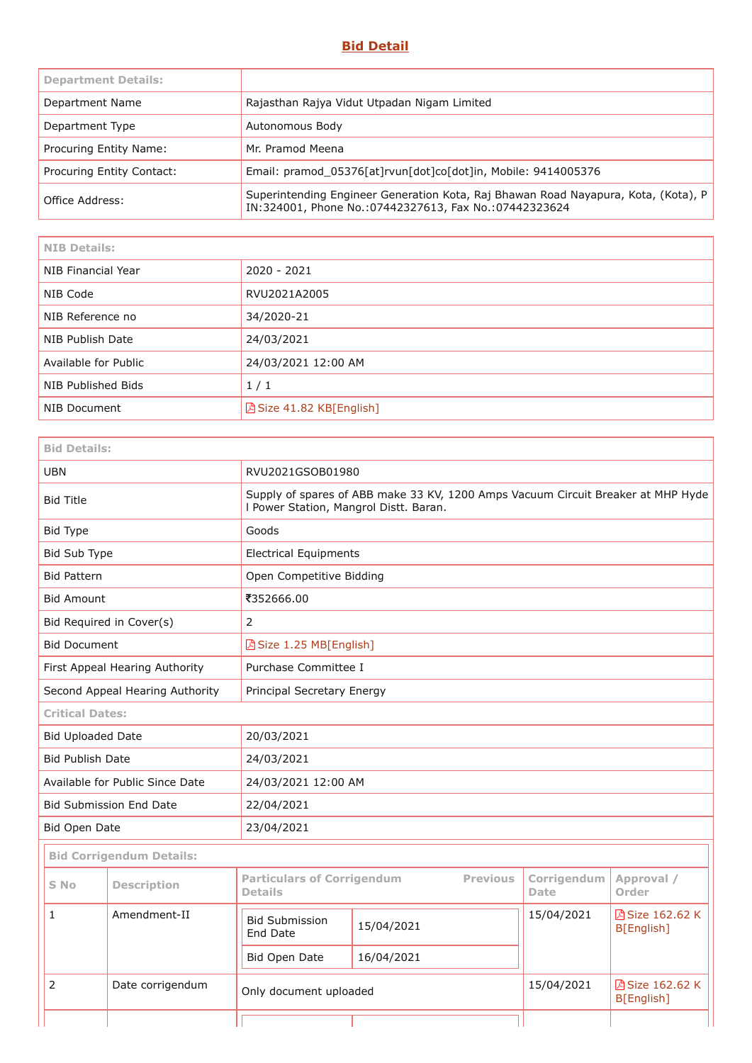## **Bid Detail**

| <b>Department Details:</b> |                                                                                                                                             |
|----------------------------|---------------------------------------------------------------------------------------------------------------------------------------------|
| Department Name            | Rajasthan Rajya Vidut Utpadan Nigam Limited                                                                                                 |
| Department Type            | Autonomous Body                                                                                                                             |
| Procuring Entity Name:     | Mr. Pramod Meena                                                                                                                            |
| Procuring Entity Contact:  | Email: pramod_05376[at]rvun[dot]co[dot]in, Mobile: 9414005376                                                                               |
| Office Address:            | Superintending Engineer Generation Kota, Raj Bhawan Road Nayapura, Kota, (Kota), P<br>IN:324001, Phone No.:07442327613, Fax No.:07442323624 |

<u> 1980 - Johann Barbara, martxa alemaniar amerikan a</u>

J.

| <b>NIB Details:</b>  |                          |
|----------------------|--------------------------|
| NIB Financial Year   | 2020 - 2021              |
| NIB Code             | RVU2021A2005             |
| NIB Reference no     | 34/2020-21               |
| NIB Publish Date     | 24/03/2021               |
| Available for Public | 24/03/2021 12:00 AM      |
| NIB Published Bids   | 1/1                      |
| NIB Document         | A Size 41.82 KB[English] |

| <b>Bid Details:</b>                        |                                 |                                                                                                                            |            |                            |                               |  |
|--------------------------------------------|---------------------------------|----------------------------------------------------------------------------------------------------------------------------|------------|----------------------------|-------------------------------|--|
| <b>UBN</b>                                 |                                 | RVU2021GSOB01980                                                                                                           |            |                            |                               |  |
| <b>Bid Title</b>                           |                                 | Supply of spares of ABB make 33 KV, 1200 Amps Vacuum Circuit Breaker at MHP Hyde<br>I Power Station, Mangrol Distt. Baran. |            |                            |                               |  |
| <b>Bid Type</b>                            |                                 | Goods                                                                                                                      |            |                            |                               |  |
| Bid Sub Type                               |                                 | <b>Electrical Equipments</b>                                                                                               |            |                            |                               |  |
| <b>Bid Pattern</b>                         |                                 | Open Competitive Bidding                                                                                                   |            |                            |                               |  |
| <b>Bid Amount</b>                          |                                 | ₹352666.00                                                                                                                 |            |                            |                               |  |
| $\overline{2}$<br>Bid Required in Cover(s) |                                 |                                                                                                                            |            |                            |                               |  |
| <b>Bid Document</b>                        |                                 | △ Size 1.25 MB[English]                                                                                                    |            |                            |                               |  |
|                                            | First Appeal Hearing Authority  | Purchase Committee I                                                                                                       |            |                            |                               |  |
|                                            | Second Appeal Hearing Authority | Principal Secretary Energy                                                                                                 |            |                            |                               |  |
| <b>Critical Dates:</b>                     |                                 |                                                                                                                            |            |                            |                               |  |
| <b>Bid Uploaded Date</b>                   |                                 | 20/03/2021                                                                                                                 |            |                            |                               |  |
| <b>Bid Publish Date</b>                    |                                 | 24/03/2021                                                                                                                 |            |                            |                               |  |
|                                            | Available for Public Since Date | 24/03/2021 12:00 AM                                                                                                        |            |                            |                               |  |
|                                            | <b>Bid Submission End Date</b>  | 22/04/2021                                                                                                                 |            |                            |                               |  |
| Bid Open Date                              |                                 | 23/04/2021                                                                                                                 |            |                            |                               |  |
|                                            | <b>Bid Corrigendum Details:</b> |                                                                                                                            |            |                            |                               |  |
| S No                                       | <b>Description</b>              | <b>Particulars of Corrigendum</b><br><b>Previous</b><br><b>Details</b>                                                     |            | Corrigendum<br><b>Date</b> | Approval /<br>Order           |  |
| $\mathbf{1}$                               | Amendment-II                    | <b>Bid Submission</b><br>End Date                                                                                          | 15/04/2021 | 15/04/2021                 | 因 Size 162.62 K<br>B[English] |  |
|                                            |                                 | Bid Open Date                                                                                                              | 16/04/2021 |                            |                               |  |
| 2                                          | Date corrigendum                | Only document uploaded                                                                                                     |            | 15/04/2021                 | 因 Size 162.62 K<br>B[English] |  |
|                                            |                                 |                                                                                                                            |            |                            |                               |  |